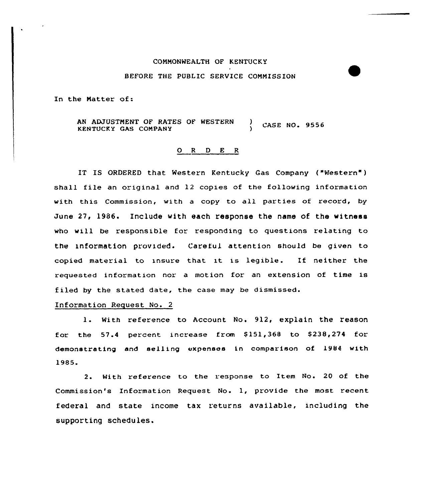## CONNONWEALTH OF KENTUCKY BEFORE THE PUBLIC SERVICE CONNISSION

In the Natter of:

AN ADJUSTNENT OF RATES OF WESTERN KENTUCKY GAS CONPANY CASE NO 9556 )

## 0 <sup>R</sup> <sup>D</sup> E R

IT IS ORDERED that Western Kentucky Gas Company ("Western" ) shall file an original and 12 copies of the following information with this Commission, with <sup>a</sup> copy to all parties of record, by June 27, 1986. Include with each response the name of the witness who will be responsible for responding to questions relating to the InfOrmation Provided. Careful attention should be given to copied material to insure that it is legible. If neither the requested information nor a motion for an extension of time is f iled by the stated date, the case may be dismissed.

## Information Request No. 2

1. With reference to Account No. 912, explain the reason for the  $57.4$  percent increase from  $$151,368$  to  $$238,274$  for demonstrating and selling expenses in comparison of 1984 with 1985.

2. With reference to the response to Item No. 20 of the Commission's Information Request No. 1, provide the most recent federal and state income tax returns available, including the supporting schedules.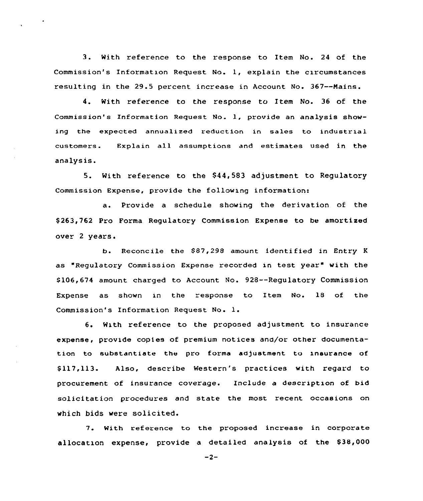3. With reference to the response to Item No. <sup>24</sup> of the Commission's Information Request No. 1, explain the circumstances resulting in the 29.5 percent increase in Account No. 367--Mains.

4. With reference to the response to Item No. 36 of the Commission's Information Request No. 1, provide an analysis showing the expected annualized reduction in sales to industrial customers. Explain all assumptions and estimates used in the analysis.

5. With reference to the \$44,583 adjustment to Regulatory Commission Expense, provide the following information:

a. Provide a schedule showing the derivation of the \$ 263,762 Pro Forma Regulatory Commission Expense to be amortized over <sup>2</sup> years.

b. Reconcile the \$87,298 amount identified in Entry K as "Regulatory Commission Expense recorded in test year" with the \$ 106,674 amount charged to Account No. 928--Regulatory Commission Expense as shown in the esponse to Item No. 18 of the Commission's Information Request No. l.

6. With reference to the proposed adjustment to insurance expense, provide copies of premium notices and/or other documentation to substantiate the pro forma adjustment to insurance of \$ 117,113. Also, describe Western's practices with regard to procurement of insurance coverage. Include a description of bid solicitation procedures and state the most recent occasions on which bids were solicited.

7. With reference to the proposed increase in corporate allocation expense, provide a detailed analysis of the \$38,000

 $-2-$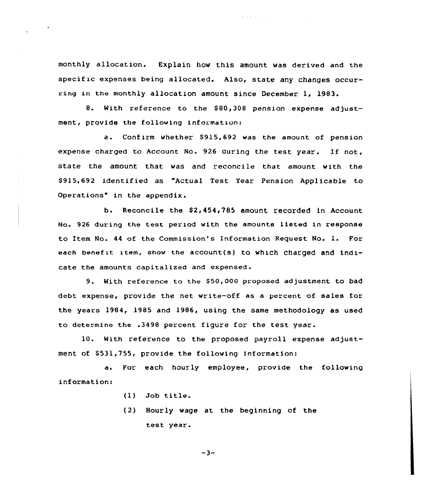monthly allocation. Explain how this amount was derived and the specific expenses being allocated. Also, state any changes occurring in the monthly allocation amount since December 1, 1983.

8. With reference to the \$80,308 pension expense adjustment, provide the following informatxon:

a. Confirm whether \$915,692 was the amount of pension expense charged to Account No. 926 during the test year. If not, state the amount that was and reconcile that amount with the 8915,692 identified as "Actual Test Year Pension Applicable to Operations" in the appendix.

b. Reconcile the \$2,454,785 amount recorded in Account No. 926 during the test period with the amounts listed in response to Item No. <sup>44</sup> of the Commission's Information Request No. 1. For each benefit item, show the account(s) to which charged and indicate the amounts capitalized and expensed.

9. With reference ta the SSO,OOO proposed adjustment to bad debt expense, provide the net write-off as a percent of sales for the years 1984, 1985 and 1986, using the same methodology as used to determine the .3498 percent figure for the test year.

10. With reference to the proposed payroll expense adjustment of \$531,755, provide the following information:

a. For each hourly employee, provide the following information:

- (13 Job title.
- (2) Hourly wage at the beginning of the test year.

 $-3-$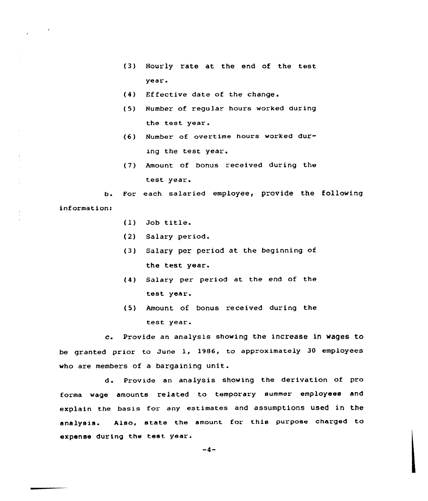- (3) Hourly rate at the end of the test year.
- (4) Effective date of the change.
- (5) Number of regular hours worked during the test year.
- (6) Number of overtime hours worked dur ing the test year.
- (7) Amount of bonus received during the test year.

b. For each salaried employee, provide the following information:

- (l) Job title.
- (2) Salary period.
- (3) Salary per period at the beginning of the test year.
- (4) Salary per period at the end of the test year.
- (5) Amount of bonus received during the test year.

c. Provide an analysis showing the increase in Wages to be granted prior to June 1, l986, to approximately 30 employees who are members of a bargaining unit.

d. Provide an analysis showing the derivation of pro forma wage amounts related to temporary summer employees and explain the basis for any estimates and assumptions used in the analysis. Also, state the amount for this purpose charged to expense during the test year.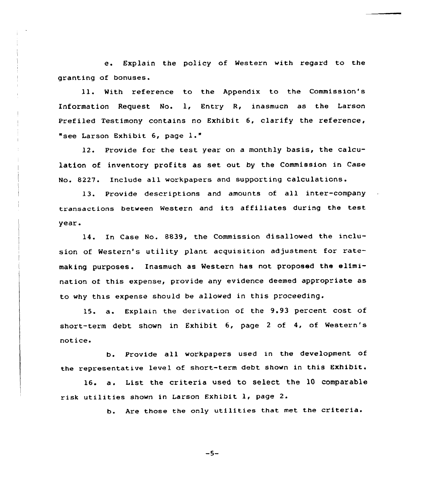e. Explain the policy of Western with regard to the granting of bonuses.

ll. With reference to the Appendix to the Commission's Information Request No. 1, Entry R, inasmuch as the Larson Prefiled Testimony contains no Exhibit 6, clarify the reference, "see larson Exhibit 6, page l."

12. Provide for the test year on a monthly basis, the calculation of inventory profits as set out by the Commission in Case No. 8227. Include all workpapers and supporting calculations.

13. Provide descriptions and amounts of all inter-company transactions between Western and its affiliates during the test year.

14. In Case No. 8839, the Commission disallowed the inclusion of Western's utility plant acquisition adjustment for ratemaking purposes. Inasmuch as Western has not proposed the elimination of this expense, provide any evidence deemed appropriate as to why this expense should be allowed in this proceeding.

15. a. Explain the derivation of the 9.93 percent cost of short-term debt shown in Exhibit 6, page <sup>2</sup> of 4, of Western's notice.

b. Provide all workpapers used in the development of the representative level of short-term debt shown in this Exhibit.

16. a. List the criteria used to select the <sup>10</sup> comparable risk utilities shown in Larson Exhibit 1, page 2.

b. Are those the only utilities that met the criteria.

 $-5-$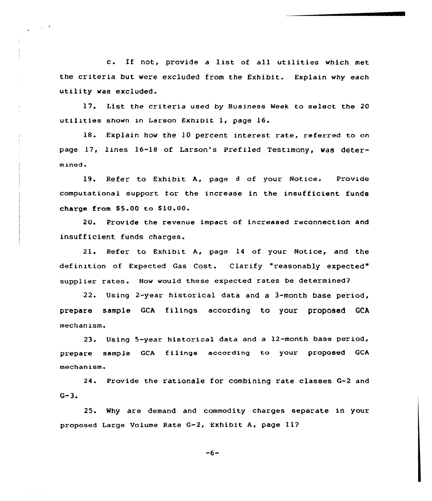c. If not, provide <sup>a</sup> list of all utilities which met the criteria but were excluded from the Exhibit. Explain why each utility was excluded.

17. List the criteria used by Business Week to select the 20 utilities shown in Larson Exhibit 1, page 16.

18. Explain how the 10 percent interest rate, referred to on page 17, lines 16-1S of Larson's Prefiled Testimony, was deter $mined.$ 

19. Refer to Exhibit A, page <sup>8</sup> of your Notice. Provide computational support for the increase in the insufficient funds charge from  $$5.00$  to  $$10.00$ .

20. Provide the revenue impact of increased reconnection and insufficient funds charges.

21. Refer to Exhibit A, page 14 of your Notice, and the definition of Expected Gas Cost. Clarify "reasonably expected" supplier rates. How would these expected rates be determined2

22. Using 2-year historical data and a 3-month base period, prepare sample GCA filings according to your proposed GCA mechanism.

23. Using 5-year historical data and a 12-month base period, prepare sample GCA filings according to your proposed GCA mechanism.

24. Provide the rationale for combining rate classes G-2 and  $G - 3$ .

25. Why are demand and commodity charges separate in your proposed Large Volume Rate G-2, Exhibit A, page 11?

 $-6-$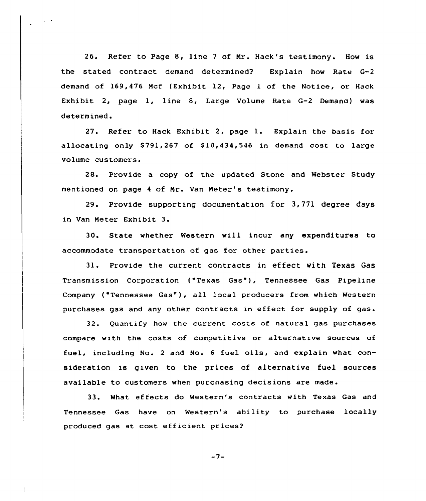26. Refer to Page 8, line <sup>7</sup> of Nr. Hack's testimony. How is the stated contract demand determined? Explain how Rate G-2 demand of 169,476 Ncf (Exhibit 12, Page 1 of the Notice, or Hack Exhibit 2, page 1, line 8, Large Volume Rate G-2 Demana) was determined.

27. Refer to Hack Exhibit 2, page l. Explain the basis for allocating only S791,267 of S10,434,546 in demand cost to large volume customers.

28. Provide a copy of the updated Stone and Webster Study mentioned on page <sup>4</sup> of Nr. Van Neter's testimony.

29. Provide supporting documentation for 3,771 degree days in Van Neter Exhibit 3.

30. State whether Western will incur any expenditures to accommodate transportation of gas for other parties.

31. Provide the current contracts in effect with Texas Gas Transmission Corporation {"Texas Gas"), Tennessee Gas Pipeline Company ("Tennessee Gas"), all local producers from which Western purchases gas and any other contracts in effect for supply of gas.

32. Quantify how the current costs of natural gas purchases compare with the costs of competitive or alternative sources of fuel, including No. <sup>2</sup> and No. <sup>6</sup> fuel oils, and explain what consideration is given to the prices of alternative fuel sources available to customers when purchasing decisions are made.

33. What ef fects do Western's contracts with Texas Gas and Tennessee Gas have on Western's ability to purchase locally produced gas at cost efficient prices?

 $-7-$